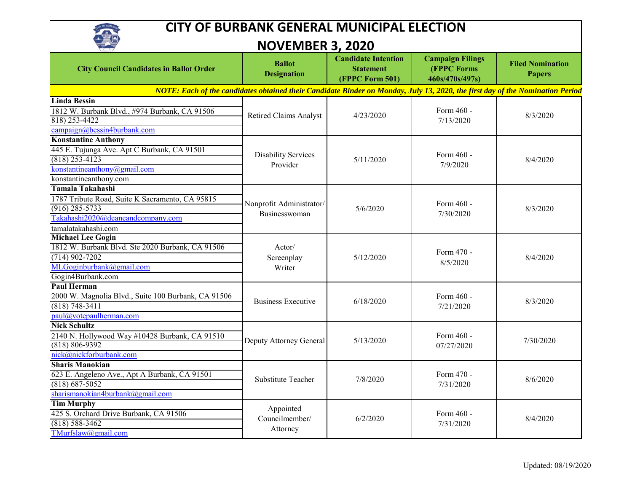

## **CITY OF BURBANK GENERAL MUNICIPAL ELECTION**

**NOVEMBER 3, 2020** 

| $\sqrt{2\pi}$                                                                                                                 | IVUVLIVIDLI\ J, ZUZU                             |                                                                   |                                                                  |                                          |  |  |
|-------------------------------------------------------------------------------------------------------------------------------|--------------------------------------------------|-------------------------------------------------------------------|------------------------------------------------------------------|------------------------------------------|--|--|
| <b>City Council Candidates in Ballot Order</b>                                                                                | <b>Ballot</b><br><b>Designation</b>              | <b>Candidate Intention</b><br><b>Statement</b><br>(FPPC Form 501) | <b>Campaign Filings</b><br><b>(FPPC Forms</b><br>460s/470s/497s) | <b>Filed Nomination</b><br><b>Papers</b> |  |  |
| NOTE: Each of the candidates obtained their Candidate Binder on Monday, July 13, 2020, the first day of the Nomination Period |                                                  |                                                                   |                                                                  |                                          |  |  |
| <b>Linda Bessin</b>                                                                                                           |                                                  |                                                                   |                                                                  |                                          |  |  |
| 1812 W. Burbank Blvd., #974 Burbank, CA 91506                                                                                 | <b>Retired Claims Analyst</b>                    | 4/23/2020                                                         | Form 460 -                                                       | 8/3/2020                                 |  |  |
| 818) 253-4422                                                                                                                 |                                                  |                                                                   | 7/13/2020                                                        |                                          |  |  |
| campaign@bessin4burbank.com                                                                                                   |                                                  |                                                                   |                                                                  |                                          |  |  |
| <b>Konstantine Anthony</b>                                                                                                    |                                                  |                                                                   |                                                                  |                                          |  |  |
| 445 E. Tujunga Ave. Apt C Burbank, CA 91501                                                                                   | <b>Disability Services</b>                       | 5/11/2020                                                         | Form 460 -<br>7/9/2020                                           | 8/4/2020                                 |  |  |
| $(818)$ 253-4123                                                                                                              | Provider                                         |                                                                   |                                                                  |                                          |  |  |
| konstantineanthony@gmail.com                                                                                                  |                                                  |                                                                   |                                                                  |                                          |  |  |
| konstantineanthony.com                                                                                                        |                                                  |                                                                   |                                                                  |                                          |  |  |
| Tamala Takahashi                                                                                                              |                                                  | 5/6/2020                                                          | Form 460 -<br>7/30/2020                                          | 8/3/2020                                 |  |  |
| 1787 Tribute Road, Suite K Sacramento, CA 95815                                                                               | Nonprofit Administrator/<br><b>Businesswoman</b> |                                                                   |                                                                  |                                          |  |  |
| $(916)$ 285-5733                                                                                                              |                                                  |                                                                   |                                                                  |                                          |  |  |
| Takahashi2020@deaneandcompany.com                                                                                             |                                                  |                                                                   |                                                                  |                                          |  |  |
| tamalatakahashi.com                                                                                                           |                                                  |                                                                   |                                                                  |                                          |  |  |
| <b>Michael Lee Gogin</b>                                                                                                      | Actor/<br>Screenplay<br>Writer                   | 5/12/2020                                                         | Form 470 -<br>8/5/2020                                           | 8/4/2020                                 |  |  |
| 1812 W. Burbank Blvd. Ste 2020 Burbank, CA 91506                                                                              |                                                  |                                                                   |                                                                  |                                          |  |  |
| $(714)$ 902-7202                                                                                                              |                                                  |                                                                   |                                                                  |                                          |  |  |
| MLGoginburbank@gmail.com                                                                                                      |                                                  |                                                                   |                                                                  |                                          |  |  |
| Gogin4Burbank.com                                                                                                             |                                                  |                                                                   |                                                                  |                                          |  |  |
| <b>Paul Herman</b>                                                                                                            | <b>Business Executive</b>                        | 6/18/2020                                                         | Form 460 -<br>7/21/2020                                          | 8/3/2020                                 |  |  |
| 2000 W. Magnolia Blvd., Suite 100 Burbank, CA 91506                                                                           |                                                  |                                                                   |                                                                  |                                          |  |  |
| $(818) 748 - 3411$                                                                                                            |                                                  |                                                                   |                                                                  |                                          |  |  |
| paul@votepaulherman.com                                                                                                       |                                                  |                                                                   |                                                                  |                                          |  |  |
| <b>Nick Schultz</b>                                                                                                           | Deputy Attorney General                          | 5/13/2020                                                         | Form 460 -<br>07/27/2020                                         | 7/30/2020                                |  |  |
| 2140 N. Hollywood Way #10428 Burbank, CA 91510                                                                                |                                                  |                                                                   |                                                                  |                                          |  |  |
| $(818) 806 - 9392$                                                                                                            |                                                  |                                                                   |                                                                  |                                          |  |  |
| nick@nickforburbank.com                                                                                                       |                                                  |                                                                   |                                                                  |                                          |  |  |
| <b>Sharis Manokian</b>                                                                                                        | Substitute Teacher                               | 7/8/2020                                                          | Form 470 -<br>7/31/2020                                          | 8/6/2020                                 |  |  |
| 623 E. Angeleno Ave., Apt A Burbank, CA 91501                                                                                 |                                                  |                                                                   |                                                                  |                                          |  |  |
| $(818) 687 - 5052$                                                                                                            |                                                  |                                                                   |                                                                  |                                          |  |  |
| sharismanokian4burbank@gmail.com                                                                                              |                                                  |                                                                   |                                                                  |                                          |  |  |
| <b>Tim Murphy</b><br>425 S. Orchard Drive Burbank, CA 91506                                                                   | Appointed<br>Councilmember/<br>Attorney          | 6/2/2020                                                          | Form 460 -<br>7/31/2020                                          | 8/4/2020                                 |  |  |
| $(818) 588 - 3462$                                                                                                            |                                                  |                                                                   |                                                                  |                                          |  |  |
| TMurfslaw@gmail.com                                                                                                           |                                                  |                                                                   |                                                                  |                                          |  |  |
|                                                                                                                               |                                                  |                                                                   |                                                                  |                                          |  |  |